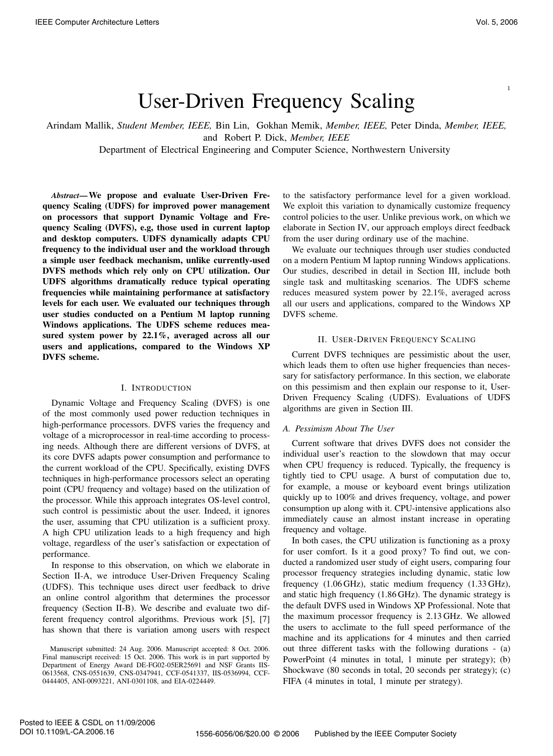#### 1

# User-Driven Frequency Scaling

Arindam Mallik, *Student Member, IEEE,* Bin Lin, Gokhan Memik, *Member, IEEE,* Peter Dinda, *Member, IEEE,* and Robert P. Dick, *Member, IEEE*

Department of Electrical Engineering and Computer Science, Northwestern University

*Abstract***—We propose and evaluate User-Driven Frequency Scaling (UDFS) for improved power management on processors that support Dynamic Voltage and Frequency Scaling (DVFS), e.g, those used in current laptop and desktop computers. UDFS dynamically adapts CPU frequency to the individual user and the workload through a simple user feedback mechanism, unlike currently-used DVFS methods which rely only on CPU utilization. Our UDFS algorithms dramatically reduce typical operating frequencies while maintaining performance at satisfactory levels for each user. We evaluated our techniques through user studies conducted on a Pentium M laptop running Windows applications. The UDFS scheme reduces measured system power by 22.1%, averaged across all our users and applications, compared to the Windows XP DVFS scheme.**

#### I. INTRODUCTION

Dynamic Voltage and Frequency Scaling (DVFS) is one of the most commonly used power reduction techniques in high-performance processors. DVFS varies the frequency and voltage of a microprocessor in real-time according to processing needs. Although there are different versions of DVFS, at its core DVFS adapts power consumption and performance to the current workload of the CPU. Specifically, existing DVFS techniques in high-performance processors select an operating point (CPU frequency and voltage) based on the utilization of the processor. While this approach integrates OS-level control, such control is pessimistic about the user. Indeed, it ignores the user, assuming that CPU utilization is a sufficient proxy. A high CPU utilization leads to a high frequency and high voltage, regardless of the user's satisfaction or expectation of performance.

In response to this observation, on which we elaborate in Section II-A, we introduce User-Driven Frequency Scaling (UDFS). This technique uses direct user feedback to drive an online control algorithm that determines the processor frequency (Section II-B). We describe and evaluate two different frequency control algorithms. Previous work [5], [7] has shown that there is variation among users with respect

to the satisfactory performance level for a given workload. We exploit this variation to dynamically customize frequency control policies to the user. Unlike previous work, on which we elaborate in Section IV, our approach employs direct feedback from the user during ordinary use of the machine.

We evaluate our techniques through user studies conducted on a modern Pentium M laptop running Windows applications. Our studies, described in detail in Section III, include both single task and multitasking scenarios. The UDFS scheme reduces measured system power by 22.1%, averaged across all our users and applications, compared to the Windows XP DVFS scheme.

### II. USER-DRIVEN FREQUENCY SCALING

Current DVFS techniques are pessimistic about the user, which leads them to often use higher frequencies than necessary for satisfactory performance. In this section, we elaborate on this pessimism and then explain our response to it, User-Driven Frequency Scaling (UDFS). Evaluations of UDFS algorithms are given in Section III.

## *A. Pessimism About The User*

Current software that drives DVFS does not consider the individual user's reaction to the slowdown that may occur when CPU frequency is reduced. Typically, the frequency is tightly tied to CPU usage. A burst of computation due to, for example, a mouse or keyboard event brings utilization quickly up to 100% and drives frequency, voltage, and power consumption up along with it. CPU-intensive applications also immediately cause an almost instant increase in operating frequency and voltage.

In both cases, the CPU utilization is functioning as a proxy for user comfort. Is it a good proxy? To find out, we conducted a randomized user study of eight users, comparing four processor frequency strategies including dynamic, static low frequency (1.06 GHz), static medium frequency (1.33 GHz), and static high frequency (1.86 GHz). The dynamic strategy is the default DVFS used in Windows XP Professional. Note that the maximum processor frequency is 2.13 GHz. We allowed the users to acclimate to the full speed performance of the machine and its applications for 4 minutes and then carried out three different tasks with the following durations - (a) PowerPoint (4 minutes in total, 1 minute per strategy); (b) Shockwave (80 seconds in total, 20 seconds per strategy); (c) FIFA (4 minutes in total, 1 minute per strategy).

Manuscript submitted: 24 Aug. 2006. Manuscript accepted: 8 Oct. 2006. Final manuscript received: 15 Oct. 2006. This work is in part supported by Department of Energy Award DE-FG02-05ER25691 and NSF Grants IIS-0613568, CNS-0551639, CNS-0347941, CCF-0541337, IIS-0536994, CCF-0444405, ANI-0093221, ANI-0301108, and EIA-0224449.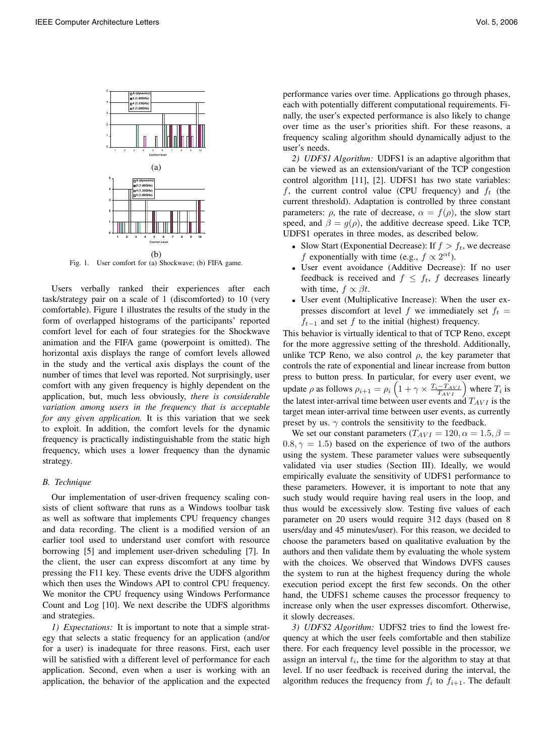

Fig. 1. User comfort for (a) Shockwave; (b) FIFA game.

Users verbally ranked their experiences after each task/strategy pair on a scale of 1 (discomforted) to 10 (very comfortable). Figure 1 illustrates the results of the study in the form of overlapped histograms of the participants' reported comfort level for each of four strategies for the Shockwave animation and the FIFA game (powerpoint is omitted). The horizontal axis displays the range of comfort levels allowed in the study and the vertical axis displays the count of the number of times that level was reported. Not surprisingly, user comfort with any given frequency is highly dependent on the application, but, much less obviously, *there is considerable variation among users in the frequency that is acceptable for any given application.* It is this variation that we seek to exploit. In addition, the comfort levels for the dynamic frequency is practically indistinguishable from the static high frequency, which uses a lower frequency than the dynamic strategy.

## *B. Technique*

Our implementation of user-driven frequency scaling consists of client software that runs as a Windows toolbar task as well as software that implements CPU frequency changes and data recording. The client is a modified version of an earlier tool used to understand user comfort with resource borrowing [5] and implement user-driven scheduling [7]. In the client, the user can express discomfort at any time by pressing the F11 key. These events drive the UDFS algorithm which then uses the Windows API to control CPU frequency. We monitor the CPU frequency using Windows Performance Count and Log [10]. We next describe the UDFS algorithms and strategies.

*1) Expectations:* It is important to note that a simple strategy that selects a static frequency for an application (and/or for a user) is inadequate for three reasons. First, each user will be satisfied with a different level of performance for each application. Second, even when a user is working with an application, the behavior of the application and the expected performance varies over time. Applications go through phases, each with potentially different computational requirements. Finally, the user's expected performance is also likely to change over time as the user's priorities shift. For these reasons, a frequency scaling algorithm should dynamically adjust to the user's needs.

*2) UDFS1 Algorithm:* UDFS1 is an adaptive algorithm that can be viewed as an extension/variant of the TCP congestion control algorithm [11], [2]. UDFS1 has two state variables: f, the current control value (CPU frequency) and  $f_t$  (the current threshold). Adaptation is controlled by three constant parameters:  $\rho$ , the rate of decrease,  $\alpha = f(\rho)$ , the slow start speed, and  $\beta = g(\rho)$ , the additive decrease speed. Like TCP, UDFS1 operates in three modes, as described below.

- Slow Start (Exponential Decrease): If  $f > f_t$ , we decrease f exponentially with time (e.g.,  $f \propto 2^{\alpha t}$ ).
- User event avoidance (Additive Decrease): If no user feedback is received and  $f \leq f_t$ , f decreases linearly with time,  $f \propto \beta t$ .
- User event (Multiplicative Increase): When the user expresses discomfort at level f we immediately set  $f_t =$  $f_{t-1}$  and set f to the initial (highest) frequency.

This behavior is virtually identical to that of TCP Reno, except for the more aggressive setting of the threshold. Additionally, unlike TCP Reno, we also control  $\rho$ , the key parameter that controls the rate of exponential and linear increase from button press to button press. In particular, for every user event, we update  $\rho$  as follows  $\rho_{i+1} = \rho_i \left( 1 + \gamma \times \frac{T_i - T_{AVI}}{T_{AVI}} \right)$  where  $T_i$  is the latest inter-arrival time between user events and  $T_{AVI}$  is the target mean inter-arrival time between user events, as currently preset by us.  $\gamma$  controls the sensitivity to the feedback.

We set our constant parameters ( $T_{AVI} = 120$ ,  $\alpha = 1.5$ ,  $\beta =$  $0.8, \gamma = 1.5$ ) based on the experience of two of the authors using the system. These parameter values were subsequently validated via user studies (Section III). Ideally, we would empirically evaluate the sensitivity of UDFS1 performance to these parameters. However, it is important to note that any such study would require having real users in the loop, and thus would be excessively slow. Testing five values of each parameter on 20 users would require 312 days (based on 8 users/day and 45 minutes/user). For this reason, we decided to choose the parameters based on qualitative evaluation by the authors and then validate them by evaluating the whole system with the choices. We observed that Windows DVFS causes the system to run at the highest frequency during the whole execution period except the first few seconds. On the other hand, the UDFS1 scheme causes the processor frequency to increase only when the user expresses discomfort. Otherwise, it slowly decreases.

*3) UDFS2 Algorithm:* UDFS2 tries to find the lowest frequency at which the user feels comfortable and then stabilize there. For each frequency level possible in the processor, we assign an interval  $t_i$ , the time for the algorithm to stay at that level. If no user feedback is received during the interval, the algorithm reduces the frequency from  $f_i$  to  $f_{i+1}$ . The default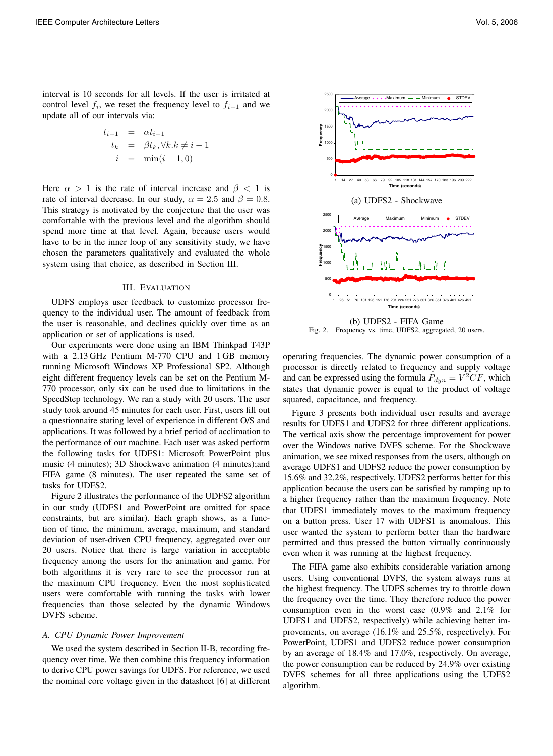interval is 10 seconds for all levels. If the user is irritated at control level  $f_i$ , we reset the frequency level to  $f_{i-1}$  and we update all of our intervals via:

$$
t_{i-1} = \alpha t_{i-1}
$$
  
\n
$$
t_k = \beta t_k, \forall k. k \neq i-1
$$
  
\n
$$
i = \min(i-1, 0)
$$

Here  $\alpha > 1$  is the rate of interval increase and  $\beta < 1$  is rate of interval decrease. In our study,  $\alpha = 2.5$  and  $\beta = 0.8$ . This strategy is motivated by the conjecture that the user was comfortable with the previous level and the algorithm should spend more time at that level. Again, because users would have to be in the inner loop of any sensitivity study, we have chosen the parameters qualitatively and evaluated the whole system using that choice, as described in Section III.

### III. EVALUATION

UDFS employs user feedback to customize processor frequency to the individual user. The amount of feedback from the user is reasonable, and declines quickly over time as an application or set of applications is used.

Our experiments were done using an IBM Thinkpad T43P with a 2.13 GHz Pentium M-770 CPU and 1 GB memory running Microsoft Windows XP Professional SP2. Although eight different frequency levels can be set on the Pentium M-770 processor, only six can be used due to limitations in the SpeedStep technology. We ran a study with 20 users. The user study took around 45 minutes for each user. First, users fill out a questionnaire stating level of experience in different O/S and applications. It was followed by a brief period of acclimation to the performance of our machine. Each user was asked perform the following tasks for UDFS1: Microsoft PowerPoint plus music (4 minutes); 3D Shockwave animation (4 minutes);and FIFA game (8 minutes). The user repeated the same set of tasks for UDFS2.

Figure 2 illustrates the performance of the UDFS2 algorithm in our study (UDFS1 and PowerPoint are omitted for space constraints, but are similar). Each graph shows, as a function of time, the minimum, average, maximum, and standard deviation of user-driven CPU frequency, aggregated over our 20 users. Notice that there is large variation in acceptable frequency among the users for the animation and game. For both algorithms it is very rare to see the processor run at the maximum CPU frequency. Even the most sophisticated users were comfortable with running the tasks with lower frequencies than those selected by the dynamic Windows DVFS scheme.

#### *A. CPU Dynamic Power Improvement*

We used the system described in Section II-B, recording frequency over time. We then combine this frequency information to derive CPU power savings for UDFS. For reference, we used the nominal core voltage given in the datasheet [6] at different





(b) UDFS2 - FIFA Game Fig. 2. Frequency vs. time, UDFS2, aggregated, 20 users.

operating frequencies. The dynamic power consumption of a processor is directly related to frequency and supply voltage and can be expressed using the formula  $P_{dyn} = V^2CF$ , which states that dynamic power is equal to the product of voltage squared, capacitance, and frequency.

Figure 3 presents both individual user results and average results for UDFS1 and UDFS2 for three different applications. The vertical axis show the percentage improvement for power over the Windows native DVFS scheme. For the Shockwave animation, we see mixed responses from the users, although on average UDFS1 and UDFS2 reduce the power consumption by 15.6% and 32.2%, respectively. UDFS2 performs better for this application because the users can be satisfied by ramping up to a higher frequency rather than the maximum frequency. Note that UDFS1 immediately moves to the maximum frequency on a button press. User 17 with UDFS1 is anomalous. This user wanted the system to perform better than the hardware permitted and thus pressed the button virtually continuously even when it was running at the highest frequency.

The FIFA game also exhibits considerable variation among users. Using conventional DVFS, the system always runs at the highest frequency. The UDFS schemes try to throttle down the frequency over the time. They therefore reduce the power consumption even in the worst case (0.9% and 2.1% for UDFS1 and UDFS2, respectively) while achieving better improvements, on average (16.1% and 25.5%, respectively). For PowerPoint, UDFS1 and UDFS2 reduce power consumption by an average of 18.4% and 17.0%, respectively. On average, the power consumption can be reduced by 24.9% over existing DVFS schemes for all three applications using the UDFS2 algorithm.